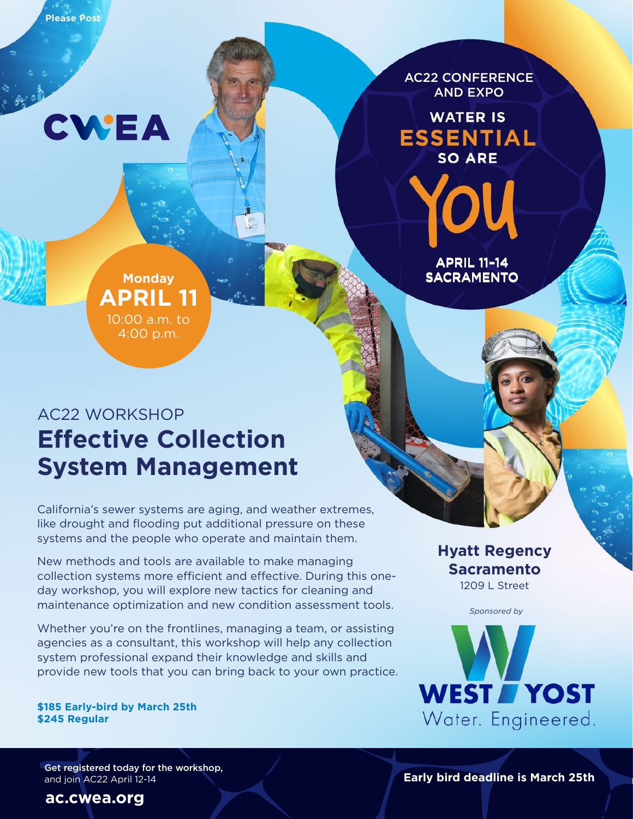**Please Post**

CWEA

AC22 CONFERENCE AND EXPO

**WATER IS ESSENTIAL SO ARE** 

> APRIL 11–14 APRIL 11–14 SACRAMENTO SACRAMENTO

### **Monday APRIL 11** 10:00 a.m. to 4:00 p.m.

### AC22 WORKSHOP **Effective Collection System Management**

California's sewer systems are aging, and weather extremes, like drought and flooding put additional pressure on these systems and the people who operate and maintain them.

New methods and tools are available to make managing collection systems more efficient and effective. During this oneday workshop, you will explore new tactics for cleaning and maintenance optimization and new condition assessment tools.

Whether you're on the frontlines, managing a team, or assisting agencies as a consultant, this workshop will help any collection system professional expand their knowledge and skills and provide new tools that you can bring back to your own practice.

**\$185 Early-bird by March 25th \$245 Regular**

Get registered today for the workshop, and join AC22 April 12-14

#### **Hyatt Regency Sacramento** 1209 L Street



**Early bird deadline is March 25th**

**[ac.cwea.org](https://ac.cwea.org)**